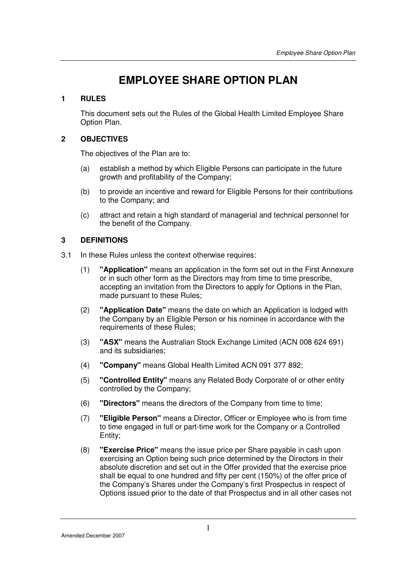# **EMPLOYEE SHARE OPTION PLAN**

# **1 RULES**

This document sets out the Rules of the Global Health Limited Employee Share Option Plan.

# **2 OBJECTIVES**

The objectives of the Plan are to:

- (a) establish a method by which Eligible Persons can participate in the future growth and profitability of the Company;
- (b) to provide an incentive and reward for Eligible Persons for their contributions to the Company; and
- (c) attract and retain a high standard of managerial and technical personnel for the benefit of the Company.

# **3 DEFINITIONS**

- 3.1 In these Rules unless the context otherwise requires:
	- (1) **"Application"** means an application in the form set out in the First Annexure or in such other form as the Directors may from time to time prescribe, accepting an invitation from the Directors to apply for Options in the Plan, made pursuant to these Rules;
	- (2) **"Application Date"** means the date on which an Application is lodged with the Company by an Eligible Person or his nominee in accordance with the requirements of these Rules:
	- (3) **"ASX"** means the Australian Stock Exchange Limited (ACN 008 624 691) and its subsidiaries;
	- (4) **"Company"** means Global Health Limited ACN 091 377 892;
	- (5) **"Controlled Entity"** means any Related Body Corporate of or other entity controlled by the Company;
	- (6) **"Directors"** means the directors of the Company from time to time;
	- (7) **"Eligible Person"** means a Director, Officer or Employee who is from time to time engaged in full or part-time work for the Company or a Controlled Entity;
	- (8) **"Exercise Price"** means the issue price per Share payable in cash upon exercising an Option being such price determined by the Directors in their absolute discretion and set out in the Offer provided that the exercise price shall be equal to one hundred and fifty per cent (150%) of the offer price of the Company's Shares under the Company's first Prospectus in respect of Options issued prior to the date of that Prospectus and in all other cases not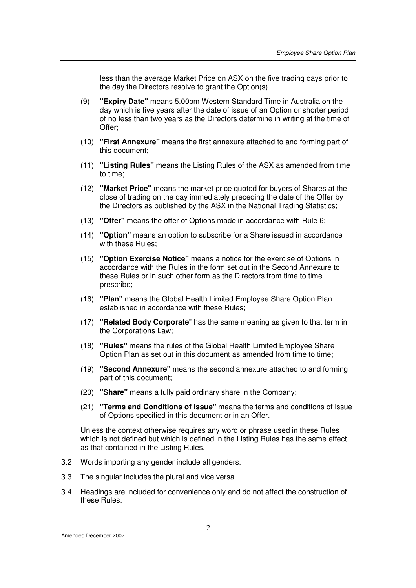less than the average Market Price on ASX on the five trading days prior to the day the Directors resolve to grant the Option(s).

- (9) **"Expiry Date"** means 5.00pm Western Standard Time in Australia on the day which is five years after the date of issue of an Option or shorter period of no less than two years as the Directors determine in writing at the time of Offer;
- (10) **"First Annexure"** means the first annexure attached to and forming part of this document;
- (11) **"Listing Rules"** means the Listing Rules of the ASX as amended from time to time;
- (12) **"Market Price"** means the market price quoted for buyers of Shares at the close of trading on the day immediately preceding the date of the Offer by the Directors as published by the ASX in the National Trading Statistics;
- (13) **"Offer"** means the offer of Options made in accordance with Rule 6;
- (14) **"Option"** means an option to subscribe for a Share issued in accordance with these Rules;
- (15) **"Option Exercise Notice"** means a notice for the exercise of Options in accordance with the Rules in the form set out in the Second Annexure to these Rules or in such other form as the Directors from time to time prescribe;
- (16) **"Plan"** means the Global Health Limited Employee Share Option Plan established in accordance with these Rules;
- (17) **"Related Body Corporate**" has the same meaning as given to that term in the Corporations Law;
- (18) **"Rules"** means the rules of the Global Health Limited Employee Share Option Plan as set out in this document as amended from time to time;
- (19) **"Second Annexure"** means the second annexure attached to and forming part of this document;
- (20) **"Share"** means a fully paid ordinary share in the Company;
- (21) **"Terms and Conditions of Issue"** means the terms and conditions of issue of Options specified in this document or in an Offer.

Unless the context otherwise requires any word or phrase used in these Rules which is not defined but which is defined in the Listing Rules has the same effect as that contained in the Listing Rules.

- 3.2 Words importing any gender include all genders.
- 3.3 The singular includes the plural and vice versa.
- 3.4 Headings are included for convenience only and do not affect the construction of these Rules.

Amended December 2007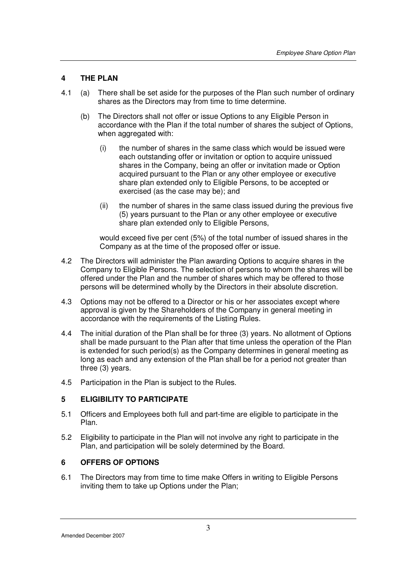# **4 THE PLAN**

- 4.1 (a) There shall be set aside for the purposes of the Plan such number of ordinary shares as the Directors may from time to time determine.
	- (b) The Directors shall not offer or issue Options to any Eligible Person in accordance with the Plan if the total number of shares the subject of Options, when aggregated with:
		- (i) the number of shares in the same class which would be issued were each outstanding offer or invitation or option to acquire unissued shares in the Company, being an offer or invitation made or Option acquired pursuant to the Plan or any other employee or executive share plan extended only to Eligible Persons, to be accepted or exercised (as the case may be); and
		- (ii) the number of shares in the same class issued during the previous five (5) years pursuant to the Plan or any other employee or executive share plan extended only to Eligible Persons,

 would exceed five per cent (5%) of the total number of issued shares in the Company as at the time of the proposed offer or issue.

- 4.2 The Directors will administer the Plan awarding Options to acquire shares in the Company to Eligible Persons. The selection of persons to whom the shares will be offered under the Plan and the number of shares which may be offered to those persons will be determined wholly by the Directors in their absolute discretion.
- 4.3 Options may not be offered to a Director or his or her associates except where approval is given by the Shareholders of the Company in general meeting in accordance with the requirements of the Listing Rules.
- 4.4 The initial duration of the Plan shall be for three (3) years. No allotment of Options shall be made pursuant to the Plan after that time unless the operation of the Plan is extended for such period(s) as the Company determines in general meeting as long as each and any extension of the Plan shall be for a period not greater than three (3) years.
- 4.5 Participation in the Plan is subject to the Rules.

# **5 ELIGIBILITY TO PARTICIPATE**

- 5.1 Officers and Employees both full and part-time are eligible to participate in the Plan.
- 5.2 Eligibility to participate in the Plan will not involve any right to participate in the Plan, and participation will be solely determined by the Board.

# **6 OFFERS OF OPTIONS**

6.1 The Directors may from time to time make Offers in writing to Eligible Persons inviting them to take up Options under the Plan;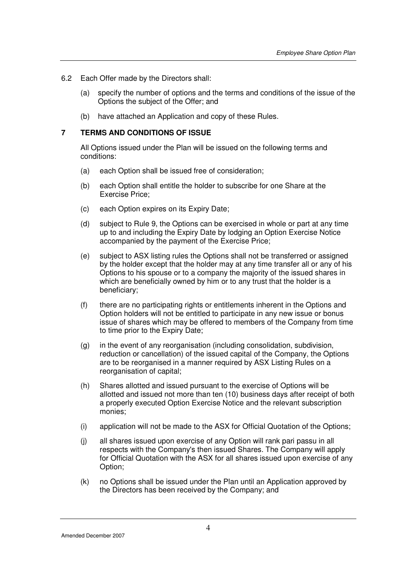- 6.2 Each Offer made by the Directors shall:
	- (a) specify the number of options and the terms and conditions of the issue of the Options the subject of the Offer; and
	- (b) have attached an Application and copy of these Rules.

## **7 TERMS AND CONDITIONS OF ISSUE**

All Options issued under the Plan will be issued on the following terms and conditions:

- (a) each Option shall be issued free of consideration;
- (b) each Option shall entitle the holder to subscribe for one Share at the Exercise Price;
- (c) each Option expires on its Expiry Date;
- (d) subject to Rule 9, the Options can be exercised in whole or part at any time up to and including the Expiry Date by lodging an Option Exercise Notice accompanied by the payment of the Exercise Price;
- (e) subject to ASX listing rules the Options shall not be transferred or assigned by the holder except that the holder may at any time transfer all or any of his Options to his spouse or to a company the majority of the issued shares in which are beneficially owned by him or to any trust that the holder is a beneficiary;
- (f) there are no participating rights or entitlements inherent in the Options and Option holders will not be entitled to participate in any new issue or bonus issue of shares which may be offered to members of the Company from time to time prior to the Expiry Date;
- (g) in the event of any reorganisation (including consolidation, subdivision, reduction or cancellation) of the issued capital of the Company, the Options are to be reorganised in a manner required by ASX Listing Rules on a reorganisation of capital;
- (h) Shares allotted and issued pursuant to the exercise of Options will be allotted and issued not more than ten (10) business days after receipt of both a properly executed Option Exercise Notice and the relevant subscription monies;
- (i) application will not be made to the ASX for Official Quotation of the Options;
- (j) all shares issued upon exercise of any Option will rank pari passu in all respects with the Company's then issued Shares. The Company will apply for Official Quotation with the ASX for all shares issued upon exercise of any Option;
- (k) no Options shall be issued under the Plan until an Application approved by the Directors has been received by the Company; and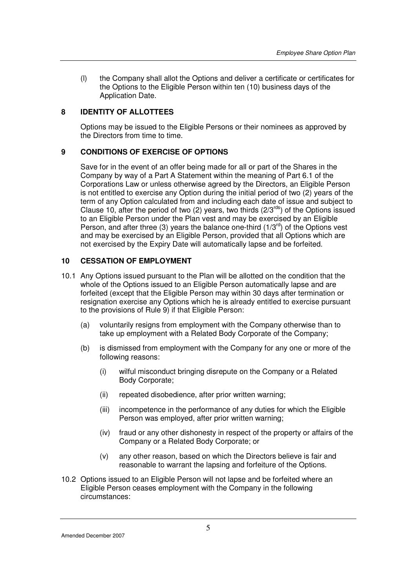(l) the Company shall allot the Options and deliver a certificate or certificates for the Options to the Eligible Person within ten (10) business days of the Application Date.

# **8 IDENTITY OF ALLOTTEES**

Options may be issued to the Eligible Persons or their nominees as approved by the Directors from time to time.

## **9 CONDITIONS OF EXERCISE OF OPTIONS**

Save for in the event of an offer being made for all or part of the Shares in the Company by way of a Part A Statement within the meaning of Part 6.1 of the Corporations Law or unless otherwise agreed by the Directors, an Eligible Person is not entitled to exercise any Option during the initial period of two (2) years of the term of any Option calculated from and including each date of issue and subject to Clause 10, after the period of two  $(2)$  years, two thirds  $(2/3^{rds})$  of the Options issued to an Eligible Person under the Plan vest and may be exercised by an Eligible Person, and after three (3) years the balance one-third  $(1/3^{rd})$  of the Options vest and may be exercised by an Eligible Person, provided that all Options which are not exercised by the Expiry Date will automatically lapse and be forfeited.

## **10 CESSATION OF EMPLOYMENT**

- 10.1 Any Options issued pursuant to the Plan will be allotted on the condition that the whole of the Options issued to an Eligible Person automatically lapse and are forfeited (except that the Eligible Person may within 30 days after termination or resignation exercise any Options which he is already entitled to exercise pursuant to the provisions of Rule 9) if that Eligible Person:
	- (a) voluntarily resigns from employment with the Company otherwise than to take up employment with a Related Body Corporate of the Company;
	- (b) is dismissed from employment with the Company for any one or more of the following reasons:
		- (i) wilful misconduct bringing disrepute on the Company or a Related Body Corporate;
		- (ii) repeated disobedience, after prior written warning;
		- (iii) incompetence in the performance of any duties for which the Eligible Person was employed, after prior written warning;
		- (iv) fraud or any other dishonesty in respect of the property or affairs of the Company or a Related Body Corporate; or
		- (v) any other reason, based on which the Directors believe is fair and reasonable to warrant the lapsing and forfeiture of the Options.
- 10.2 Options issued to an Eligible Person will not lapse and be forfeited where an Eligible Person ceases employment with the Company in the following circumstances:

Amended December 2007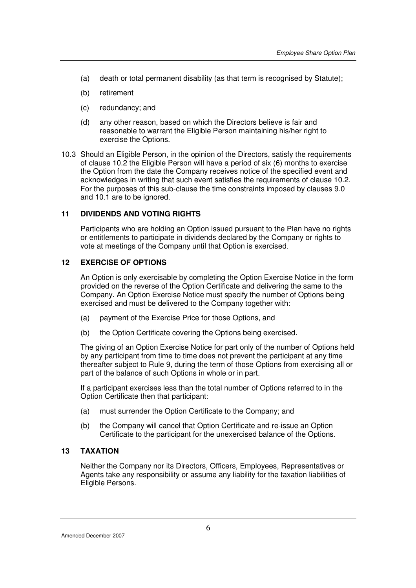- (a) death or total permanent disability (as that term is recognised by Statute);
- (b) retirement
- (c) redundancy; and
- (d) any other reason, based on which the Directors believe is fair and reasonable to warrant the Eligible Person maintaining his/her right to exercise the Options.
- 10.3 Should an Eligible Person, in the opinion of the Directors, satisfy the requirements of clause 10.2 the Eligible Person will have a period of six (6) months to exercise the Option from the date the Company receives notice of the specified event and acknowledges in writing that such event satisfies the requirements of clause 10.2. For the purposes of this sub-clause the time constraints imposed by clauses 9.0 and 10.1 are to be ignored.

#### **11 DIVIDENDS AND VOTING RIGHTS**

Participants who are holding an Option issued pursuant to the Plan have no rights or entitlements to participate in dividends declared by the Company or rights to vote at meetings of the Company until that Option is exercised.

#### **12 EXERCISE OF OPTIONS**

An Option is only exercisable by completing the Option Exercise Notice in the form provided on the reverse of the Option Certificate and delivering the same to the Company. An Option Exercise Notice must specify the number of Options being exercised and must be delivered to the Company together with:

- (a) payment of the Exercise Price for those Options, and
- (b) the Option Certificate covering the Options being exercised.

 The giving of an Option Exercise Notice for part only of the number of Options held by any participant from time to time does not prevent the participant at any time thereafter subject to Rule 9, during the term of those Options from exercising all or part of the balance of such Options in whole or in part.

 If a participant exercises less than the total number of Options referred to in the Option Certificate then that participant:

- (a) must surrender the Option Certificate to the Company; and
- (b) the Company will cancel that Option Certificate and re-issue an Option Certificate to the participant for the unexercised balance of the Options.

## **13 TAXATION**

Neither the Company nor its Directors, Officers, Employees, Representatives or Agents take any responsibility or assume any liability for the taxation liabilities of Eligible Persons.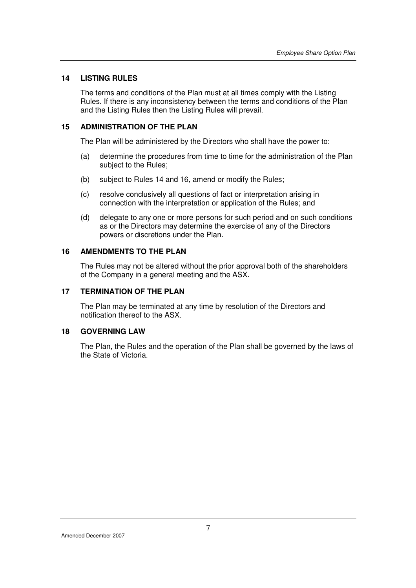# **14 LISTING RULES**

The terms and conditions of the Plan must at all times comply with the Listing Rules. If there is any inconsistency between the terms and conditions of the Plan and the Listing Rules then the Listing Rules will prevail.

# **15 ADMINISTRATION OF THE PLAN**

The Plan will be administered by the Directors who shall have the power to:

- (a) determine the procedures from time to time for the administration of the Plan subject to the Rules;
- (b) subject to Rules 14 and 16, amend or modify the Rules;
- (c) resolve conclusively all questions of fact or interpretation arising in connection with the interpretation or application of the Rules; and
- (d) delegate to any one or more persons for such period and on such conditions as or the Directors may determine the exercise of any of the Directors powers or discretions under the Plan.

## **16 AMENDMENTS TO THE PLAN**

The Rules may not be altered without the prior approval both of the shareholders of the Company in a general meeting and the ASX.

# **17 TERMINATION OF THE PLAN**

The Plan may be terminated at any time by resolution of the Directors and notification thereof to the ASX.

#### **18 GOVERNING LAW**

The Plan, the Rules and the operation of the Plan shall be governed by the laws of the State of Victoria.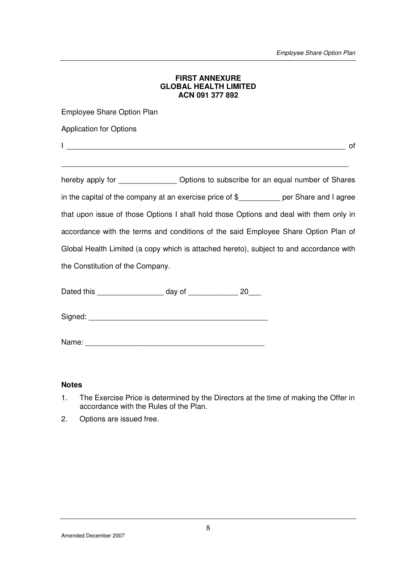#### **FIRST ANNEXURE GLOBAL HEALTH LIMITED ACN 091 377 892**

Employee Share Option Plan

Application for Options

 $\Box$ 

\_\_\_\_\_\_\_\_\_\_\_\_\_\_\_\_\_\_\_\_\_\_\_\_\_\_\_\_\_\_\_\_\_\_\_\_\_\_\_\_\_\_\_\_\_\_\_\_\_\_\_\_\_\_\_\_\_\_\_\_\_\_\_\_\_\_\_\_\_

hereby apply for \_\_\_\_\_\_\_\_\_\_\_\_\_\_\_ Options to subscribe for an equal number of Shares in the capital of the company at an exercise price of \$\_\_\_\_\_\_\_\_\_\_ per Share and I agree that upon issue of those Options I shall hold those Options and deal with them only in accordance with the terms and conditions of the said Employee Share Option Plan of Global Health Limited (a copy which is attached hereto), subject to and accordance with the Constitution of the Company.

Dated this \_\_\_\_\_\_\_\_\_\_\_\_\_\_\_\_\_\_\_\_ day of \_\_\_\_\_\_\_\_\_\_\_\_\_\_\_ 20\_\_\_\_

Signed:

Name:

### **Notes**

- 1. The Exercise Price is determined by the Directors at the time of making the Offer in accordance with the Rules of the Plan.
- 2. Options are issued free.